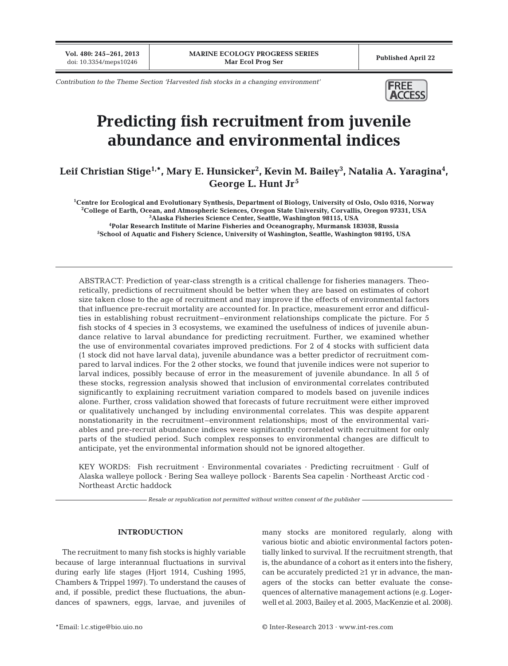**Vol. 480: 245–261, 2013**

*Contribution to the Theme Section 'Harvested fish stocks in a changing environment'* **FREE** 



# **Predicting fish recruitment from juvenile abundance and environmental indices**

## Leif Christian Stige<sup>1,</sup>\*, Mary E. Hunsicker<sup>2</sup>, Kevin M. Bailey<sup>3</sup>, Natalia A. Yaragina<sup>4</sup>, **George L. Hunt Jr<sup>5</sup>**

**1 Centre for Ecological and Evolutionary Synthesis, Department of Biology, University of Oslo, Oslo 0316, Norway 2 College of Earth, Ocean, and Atmospheric Sciences, Oregon State University, Corvallis, Oregon 97331, USA 3 Alaska Fisheries Science Center, Seattle, Washington 98115, USA**

**4 Polar Research Institute of Marine Fisheries and Oceanography, Murmansk 183038, Russia 5 School of Aquatic and Fishery Science, University of Washington, Seattle, Washington 98195, USA**

ABSTRACT: Prediction of year-class strength is a critical challenge for fisheries managers. Theoretically, predictions of recruitment should be better when they are based on estimates of cohort size taken close to the age of recruitment and may improve if the effects of environmental factors that influence pre-recruit mortality are accounted for. In practice, measurement error and difficulties in establishing robust recruitment–environment relationships complicate the picture. For 5 fish stocks of 4 species in 3 ecosystems, we examined the usefulness of indices of juvenile abundance relative to larval abundance for predicting recruitment. Further, we examined whether the use of environmental covariates improved predictions. For 2 of 4 stocks with sufficient data (1 stock did not have larval data), juvenile abundance was a better predictor of recruitment compared to larval indices. For the 2 other stocks, we found that juvenile indices were not superior to larval indices, possibly because of error in the measurement of juvenile abundance. In all 5 of these stocks, regression analysis showed that inclusion of environmental correlates contributed significantly to explaining recruitment variation compared to models based on juvenile indices alone. Further, cross validation showed that forecasts of future recruitment were either improved or qualitatively unchanged by including environmental correlates. This was despite apparent nonstationarity in the recruitment–environment relationships; most of the environmental variables and pre-recruit abundance indices were significantly correlated with recruitment for only parts of the studied period. Such complex responses to environmental changes are difficult to anticipate, yet the environmental information should not be ignored altogether.

KEY WORDS: Fish recruitment · Environmental covariates · Predicting recruitment · Gulf of Alaska walleye pollock · Bering Sea walleye pollock · Barents Sea capelin · Northeast Arctic cod · Northeast Arctic haddock

*Resale or republication not permitted without written consent of the publisher*

## **INTRODUCTION**

The recruitment to many fish stocks is highly variable because of large interannual fluctuations in survival during early life stages (Hjort 1914, Cushing 1995, Chambers & Trippel 1997). To understand the causes of and, if possible, predict these fluctuations, the abundances of spawners, eggs, larvae, and juveniles of many stocks are monitored regularly, along with various biotic and abiotic environmental factors potentially linked to survival. If the recruitment strength, that is, the abundance of a cohort as it enters into the fishery, can be accurately predicted ≥1 yr in advance, the managers of the stocks can better evaluate the consequences of alternative management actions (e.g. Logerwell et al. 2003, Bailey et al. 2005, MacKenzie et al. 2008).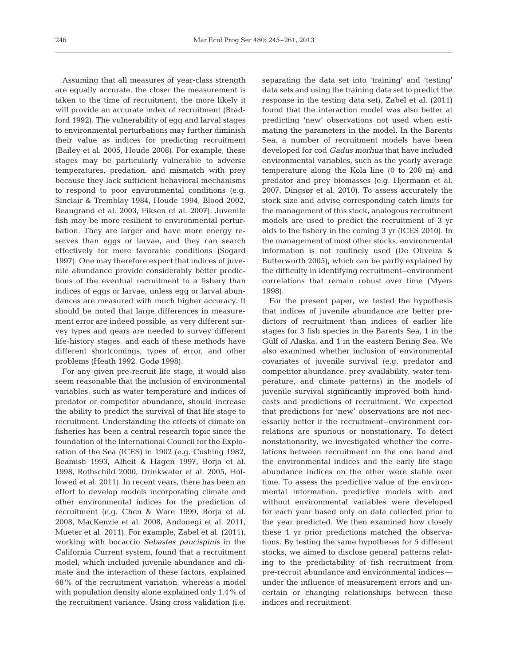Assuming that all measures of year-class strength are equally accurate, the closer the measurement is taken to the time of recruitment, the more likely it will provide an accurate index of recruitment (Bradford 1992). The vulnerability of egg and larval stages to environmental perturbations may further diminish their value as indices for predicting recruitment (Bailey et al. 2005, Houde 2008). For example, these stages may be particularly vulnerable to adverse temperatures, predation, and mismatch with prey because they lack sufficient behavioral mechanisms to respond to poor environmental conditions (e.g. Sinclair & Tremblay 1984, Houde 1994, Blood 2002, Beaugrand et al. 2003, Fiksen et al. 2007). Juvenile fish may be more resilient to environmental perturbation. They are larger and have more energy reserves than eggs or larvae, and they can search effectively for more favorable conditions (Sogard 1997). One may therefore expect that indices of juvenile abundance provide considerably better predictions of the eventual recruitment to a fishery than indices of eggs or larvae, unless egg or larval abundances are measured with much higher accuracy. It should be noted that large differences in measurement error are indeed possible, as very different survey types and gears are needed to survey different life-history stages, and each of these methods have different shortcomings, types of error, and other problems (Heath 1992, Godø 1998).

For any given pre-recruit life stage, it would also seem reasonable that the inclusion of environmental variables, such as water temperature and indices of predator or competitor abundance, should increase the ability to predict the survival of that life stage to recruitment. Understanding the effects of climate on fisheries has been a central research topic since the foundation of the International Council for the Exploration of the Sea (ICES) in 1902 (e.g. Cushing 1982, Beamish 1993, Alheit & Hagen 1997, Borja et al. 1998, Rothschild 2000, Drinkwater et al. 2005, Hollowed et al. 2011). In recent years, there has been an effort to develop models incorporating climate and other environmental indices for the prediction of recruitment (e.g. Chen & Ware 1999, Borja et al. 2008, MacKenzie et al. 2008, Andonegi et al. 2011, Mueter et al. 2011). For example, Zabel et al. (2011), working with bocaccio *Sebastes paucispinis* in the California Current system, found that a recruitment model, which included juvenile abundance and climate and the interaction of these factors, explained 68% of the recruitment variation, whereas a model with population density alone explained only 1.4% of the recruitment variance. Using cross validation (i.e. separating the data set into 'training' and 'testing' data sets and using the training data set to predict the response in the testing data set), Zabel et al. (2011) found that the interaction model was also better at predicting 'new' observations not used when estimating the parameters in the model. In the Barents Sea, a number of recruitment models have been developed for cod *Gadus morhua* that have included environmental variables, such as the yearly average temperature along the Kola line (0 to 200 m) and predator and prey biomasses (e.g. Hjermann et al. 2007, Dingsør et al. 2010). To assess accurately the stock size and advise corresponding catch limits for the management of this stock, analogous recruitment models are used to predict the recruitment of 3 yr olds to the fishery in the coming 3 yr (ICES 2010). In the management of most other stocks, environmental information is not routinely used (De Oliveira & Butterworth 2005), which can be partly explained by the difficulty in identifying recruitment–environment correlations that remain robust over time (Myers 1998).

For the present paper, we tested the hypothesis that indices of juvenile abundance are better predictors of recruitment than indices of earlier life stages for 3 fish species in the Barents Sea, 1 in the Gulf of Alaska, and 1 in the eastern Bering Sea. We also examined whether inclusion of environmental covariates of juvenile survival (e.g. predator and competitor abundance, prey availability, water temperature, and climate patterns) in the models of juvenile survival significantly improved both hindcasts and predictions of recruitment. We expected that predictions for 'new' observations are not necessarily better if the recruitment–environment cor relations are spurious or nonstationary. To detect nonstationarity, we investigated whether the correlations between recruitment on the one hand and the environmental indices and the early life stage abundance indices on the other were stable over time. To assess the predictive value of the environmental information, predictive models with and without environmental variables were developed for each year based only on data collected prior to the year predicted. We then examined how closely these 1 yr prior predictions matched the observations. By testing the same hypotheses for 5 different stocks, we aimed to disclose general patterns relating to the predictability of fish recruitment from pre-recruit abundance and environmental indices under the influence of measurement errors and uncertain or changing relationships between these indices and recruitment.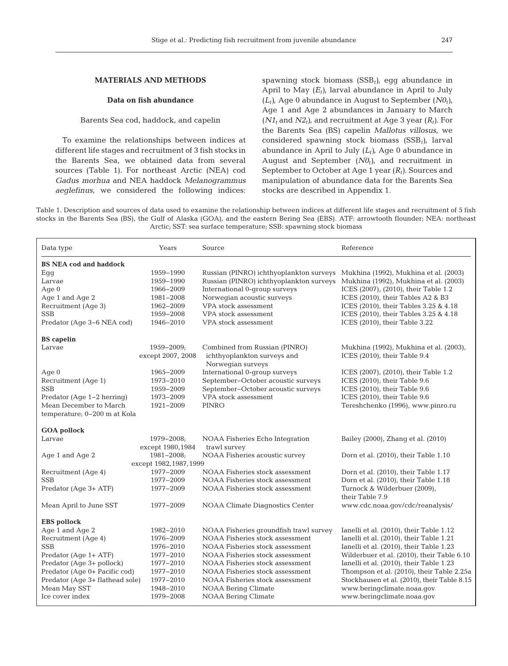## **MATERIALS AND METHODS**

#### **Data on fish abundance**

## Barents Sea cod, haddock, and capelin

To examine the relationships between indices at different life stages and recruitment of 3 fish stocks in the Barents Sea, we obtained data from several sources (Table 1). For northeast Arctic (NEA) cod *Gadus morhua* and NEA haddock *Melanogrammus aeglefinus*, we considered the following indices:

spawning stock biomass (SSB*t)*, egg abundance in April to May  $(E_t)$ , larval abundance in April to July  $(L_t)$ , Age 0 abundance in August to September  $(NO_t)$ , Age 1 and Age 2 abundances in January to March  $(N1_t$  and  $N2_t$ ), and recruitment at Age 3 year  $(R_t)$ . For the Barents Sea (BS) capelin *Mallotus villosus*, we considered spawning stock biomass (SSB*t)*, larval abundance in April to July  $(L_t)$ , Age 0 abundance in August and September  $(N\theta_t)$ , and recruitment in September to October at Age 1 year (*Rt)*. Sources and manipulation of abundance data for the Barents Sea stocks are described in Appendix 1.

Table 1. Description and sources of data used to examine the relationship between indices at different life stages and recruitment of 5 fish stocks in the Barents Sea (BS), the Gulf of Alaska (GOA), and the eastern Bering Sea (EBS). ATF: arrowtooth flounder; NEA: northeast Arctic; SST: sea surface temperature; SSB: spawning stock biomass

| Data type                       | Years             | Source                                           | Reference                                   |  |  |  |  |
|---------------------------------|-------------------|--------------------------------------------------|---------------------------------------------|--|--|--|--|
| <b>BS NEA cod and haddock</b>   |                   |                                                  |                                             |  |  |  |  |
| Eqq                             | 1959-1990         | Russian (PINRO) ichthyoplankton surveys          | Mukhina (1992), Mukhina et al. (2003)       |  |  |  |  |
| Larvae                          | 1959-1990         | Russian (PINRO) ichthyoplankton surveys          | Mukhina (1992), Mukhina et al. (2003)       |  |  |  |  |
| Age $0$                         | 1966-2009         | International 0-group surveys                    | ICES (2007), (2010), their Table 1.2        |  |  |  |  |
| Age 1 and Age 2                 | 1981-2008         | Norwegian acoustic surveys                       | ICES (2010), their Tables A2 & B3           |  |  |  |  |
| Recruitment (Age 3)             | 1962-2009         | VPA stock assessment                             | ICES (2010), their Tables 3.25 & 4.18       |  |  |  |  |
| <b>SSB</b>                      | 1959-2008         | VPA stock assessment                             | ICES (2010), their Tables 3.25 & 4.18       |  |  |  |  |
| Predator (Age 3-6 NEA cod)      | 1946-2010         | VPA stock assessment                             | ICES (2010), their Table 3.22               |  |  |  |  |
| <b>BS</b> capelin               |                   |                                                  |                                             |  |  |  |  |
| Larvae                          | $1959 - 2009$     | Combined from Russian (PINRO)                    | Mukhina (1992), Mukhina et al. (2003),      |  |  |  |  |
|                                 | except 2007, 2008 | ichthyoplankton surveys and<br>Norwegian surveys | ICES (2010), their Table 9.4                |  |  |  |  |
| Age $0$                         | 1965-2009         | International 0-group surveys                    | ICES (2007), (2010), their Table 1.2        |  |  |  |  |
| Recruitment (Age 1)             | 1973-2010         | September-October acoustic surveys               | ICES (2010), their Table 9.6                |  |  |  |  |
| <b>SSB</b>                      | 1959-2009         | September-October acoustic surveys               | ICES (2010), their Table 9.6                |  |  |  |  |
| Predator (Age 1-2 herring)      | 1973-2009         | VPA stock assessment                             | ICES (2010), their Table 9.6                |  |  |  |  |
| Mean December to March          | 1921-2009         | <b>PINRO</b>                                     | Tereshchenko (1996), www.pinro.ru           |  |  |  |  |
| temperature; 0-200 m at Kola    |                   |                                                  |                                             |  |  |  |  |
| <b>GOA</b> pollock              |                   |                                                  |                                             |  |  |  |  |
| Larvae                          | 1979-2008;        | NOAA Fisheries Echo Integration                  | Bailey (2000), Zhang et al. (2010)          |  |  |  |  |
|                                 | except 1980, 1984 | trawl survey                                     |                                             |  |  |  |  |
| Age 1 and Age 2                 | $1981 - 2008$     | NOAA Fisheries acoustic survey                   | Dorn et al. (2010), their Table 1.10        |  |  |  |  |
| except 1982, 1987, 1999         |                   |                                                  |                                             |  |  |  |  |
| Recruitment (Age 4)             | 1977-2009         | NOAA Fisheries stock assessment                  | Dorn et al. (2010), their Table 1.17        |  |  |  |  |
| <b>SSB</b>                      | 1977-2009         | NOAA Fisheries stock assessment                  | Dorn et al. (2010), their Table 1.18        |  |  |  |  |
| Predator (Age 3+ ATF)           | 1977-2009         | NOAA Fisheries stock assessment                  | Turnock & Wilderbuer (2009),                |  |  |  |  |
|                                 |                   |                                                  | their Table 7.9                             |  |  |  |  |
| Mean April to June SST          | 1977-2009         | <b>NOAA Climate Diagnostics Center</b>           | www.cdc.noaa.qov/cdc/reanalysis/            |  |  |  |  |
| <b>EBS</b> pollock              |                   |                                                  |                                             |  |  |  |  |
| Age 1 and Age 2                 | 1982-2010         | NOAA Fisheries groundfish trawl survey           | Ianelli et al. (2010), their Table 1.12     |  |  |  |  |
| Recruitment (Age 4)             | 1976-2009         | NOAA Fisheries stock assessment                  | Ianelli et al. (2010), their Table 1.21     |  |  |  |  |
| <b>SSB</b>                      | 1976-2010         | NOAA Fisheries stock assessment                  | Ianelli et al. (2010), their Table 1.23     |  |  |  |  |
| Predator (Age 1+ ATF)           | 1977-2010         | NOAA Fisheries stock assessment                  | Wilderbuer et al. (2010), their Table 6.10  |  |  |  |  |
| Predator (Age 3+ pollock)       | 1977-2010         | NOAA Fisheries stock assessment                  | Ianelli et al. (2010), their Table 1.23     |  |  |  |  |
| Predator (Age 0+ Pacific cod)   | 1977-2010         | NOAA Fisheries stock assessment                  | Thompson et al. (2010), their Table 2.25a   |  |  |  |  |
| Predator (Age 3+ flathead sole) | 1977-2010         | NOAA Fisheries stock assessment                  | Stockhausen et al. (2010), their Table 8.15 |  |  |  |  |
| Mean May SST                    | 1948-2010         | NOAA Bering Climate                              | www.beringclimate.noaa.gov                  |  |  |  |  |
| Ice cover index                 | 1979-2008         | NOAA Bering Climate                              | www.beringclimate.noaa.gov                  |  |  |  |  |
|                                 |                   |                                                  |                                             |  |  |  |  |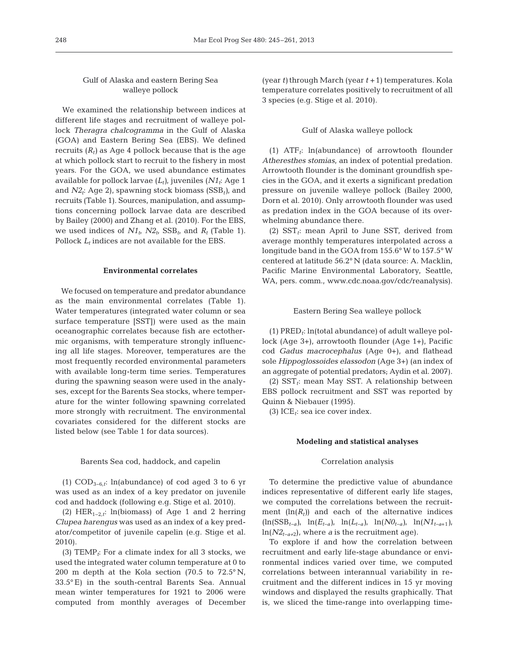## Gulf of Alaska and eastern Bering Sea walleye pollock

We examined the relationship between indices at different life stages and recruitment of walleye pollock *Theragra chalcogramma* in the Gulf of Alaska (GOA) and Eastern Bering Sea (EBS). We defined recruits  $(R_t)$  as Age 4 pollock because that is the age at which pollock start to recruit to the fishery in most years. For the GOA, we used abundance estimates available for pollock larvae  $(L_t)$ , juveniles  $(N1_t;$  Age 1 and *N2t*: Age 2), spawning stock biomass (SSB*t)*, and recruits (Table 1). Sources, manipulation, and assumptions concerning pollock larvae data are described by Bailey (2000) and Zhang et al. (2010). For the EBS, we used indices of  $N1_t$ ,  $N2_t$ ,  $SSB_t$ , and  $R_t$  (Table 1). Pollock  $L_t$  indices are not available for the EBS.

#### **Environmental correlates**

We focused on temperature and predator abundance as the main environmental correlates (Table 1). Water temperatures (integrated water column or sea surface temperature [SST]) were used as the main oceanographic correlates because fish are ectothermic organisms, with temperature strongly influencing all life stages. Moreover, temperatures are the most frequently recorded environmental parameters with available long-term time series. Temperatures during the spawning season were used in the analyses, except for the Barents Sea stocks, where temperature for the winter following spawning correlated more strongly with recruitment. The environmental covariates considered for the different stocks are listed below (see Table 1 for data sources).

#### Barents Sea cod, haddock, and capelin

(1) COD3−6*,t*: ln(abundance) of cod aged 3 to 6 yr was used as an index of a key predator on juvenile cod and haddock (following e.g. Stige et al. 2010).

(2) HER1−2*,t*: ln(biomass) of Age 1 and 2 herring *Clupea harengus* was used as an index of a key predator/competitor of juvenile capelin (e.g. Stige et al. 2010).

(3) TEMP<sub> $t$ </sub>: For a climate index for all 3 stocks, we used the integrated water column temperature at 0 to 200 m depth at the Kola section (70.5 to 72.5° N, 33.5° E) in the south-central Barents Sea. Annual mean winter temperatures for 1921 to 2006 were computed from monthly averages of December (year *t)* through March (year *t* +1) temperatures. Kola temperature correlates positively to recruitment of all 3 species (e.g. Stige et al. 2010).

#### Gulf of Alaska walleye pollock

(1) ATF*t*: ln(abundance) of arrowtooth flounder *Atheresthes stomias*, an index of potential predation. Arrowtooth flounder is the dominant groundfish species in the GOA, and it exerts a significant predation pressure on juvenile walleye pollock (Bailey 2000, Dorn et al. 2010). Only arrowtooth flounder was used as predation index in the GOA because of its overwhelming abundance there.

(2)  $SST_t$ : mean April to June SST, derived from average monthly temperatures interpolated across a longitude band in the GOA from 155.6° W to 157.5° W centered at latitude 56.2° N (data source: A. Macklin, Pacific Marine Environmental Laboratory, Seattle, WA, pers. comm., www.cdc.noaa.gov/cdc/reanalysis).

#### Eastern Bering Sea walleye pollock

(1) PRED*t*: ln(total abundance) of adult walleye pollock (Age 3+), arrowtooth flounder (Age 1+), Pacific cod *Gadus macrocephalus* (Age 0+), and flathead sole *Hippoglossoides elassodon* (Age 3+) (an index of an aggregate of potential predators; Aydin et al. 2007).

(2)  $SST_t$ : mean May SST. A relationship between EBS pollock recruitment and SST was reported by Quinn & Niebauer (1995).

(3) ICE $_t$ : sea ice cover index.

#### **Modeling and statistical analyses**

#### Correlation analysis

To determine the predictive value of abundance indices representative of different early life stages, we computed the correlations between the recruitment  $(\ln(R_t))$  and each of the alternative indices (ln(SSB*t−a)*, ln(*Et−a)*, ln(*Lt−a)*, ln(*N0t−a)*, ln(*N1t−a*+1*)*, ln(*N2t−a+*2), where *a* is the recruitment age).

To explore if and how the correlation between recruitment and early life-stage abundance or environmental indices varied over time, we computed correlations between interannual variability in re cruitment and the different indices in 15 yr moving windows and displayed the results graphically. That is, we sliced the time-range into overlapping time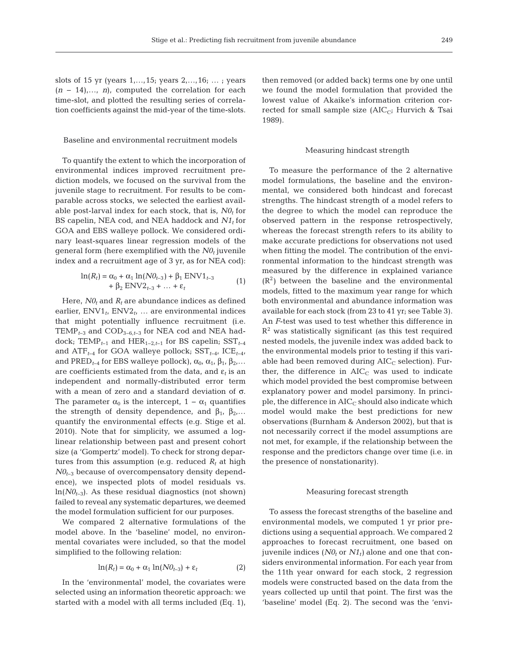slots of 15 yr (years  $1, ..., 15$ ; years  $2, ..., 16$ ; ...; years (*n* − 14),…, *n*), computed the correlation for each time-slot, and plotted the resulting series of correlation coefficients against the mid-year of the time-slots.

#### Baseline and environmental recruitment models

To quantify the extent to which the incorporation of environmental indices improved recruitment prediction models, we focused on the survival from the juvenile stage to recruitment. For results to be comparable across stocks, we selected the earliest available post-larval index for each stock, that is,  $N\theta_t$  for BS capelin, NEA cod, and NEA haddock and  $N1<sub>t</sub>$  for GOA and EBS walleye pollock. We considered ordinary least-squares linear regression models of the general form (here exemplified with the  $N_0$  juvenile index and a recruitment age of 3 yr, as for NEA cod):

$$
\ln(R_t) = \alpha_0 + \alpha_1 \ln(NO_{t-3}) + \beta_1 \text{ ENV1}_{t-3} + \beta_2 \text{ ENV2}_{t-3} + \dots + \varepsilon_t
$$
\n(1)

Here,  $N\theta_t$  and  $R_t$  are abundance indices as defined earlier, ENV1*t*, ENV2*t*, … are environmental indices that might potentially influence recruitment (i.e. TEMP*t*−3 and COD3−6,*t*−3 for NEA cod and NEA haddock; TEMP<sub>t−1</sub> and HER<sub>1−2,t−1</sub> for BS capelin; SST<sub>t−4</sub> and ATF*t*−4 for GOA walleye pollock; SST*t*−4, ICE*t*−4, and PRED<sub>*t*−4</sub> for EBS walleye pollock),  $\alpha_0$ ,  $\alpha_1$ ,  $\beta_1$ ,  $\beta_2$ ,... are coefficients estimated from the data, and  $\varepsilon_t$  is an independent and normally-distributed error term with a mean of zero and a standard deviation of σ. The parameter  $\alpha_0$  is the intercept, 1 –  $\alpha_1$  quantifies the strength of density dependence, and  $β_1$ ,  $β_2$ ,... quantify the environmental effects (e.g. Stige et al. 2010). Note that for simplicity, we assumed a loglinear relationship between past and present cohort size (a 'Gompertz' model). To check for strong departures from this assumption (e.g. reduced  $R_t$  at high *N0*<sub>t−3</sub> because of overcompensatory density dependence), we inspected plots of model residuals vs. ln(*N0t*−3). As these residual diagnostics (not shown) failed to reveal any systematic departures, we deemed the model formulation sufficient for our purposes.

We compared 2 alternative formulations of the model above. In the 'baseline' model, no environmental covariates were included, so that the model simplified to the following relation:

$$
\ln(R_t) = \alpha_0 + \alpha_1 \ln(N\theta_{t-3}) + \varepsilon_t \tag{2}
$$

In the 'environmental' model, the covariates were selected using an information theoretic approach: we started with a model with all terms included (Eq. 1), then removed (or added back) terms one by one until we found the model formulation that provided the lowest value of Akaike's information criterion corrected for small sample size  $(AIC_C; Hurvich & Tsai$ 1989).

#### Measuring hindcast strength

To measure the performance of the 2 alternative model formulations, the baseline and the environmental, we considered both hindcast and forecast strengths. The hindcast strength of a model refers to the degree to which the model can reproduce the observed pattern in the response retrospectively, whereas the forecast strength refers to its ability to make accurate predictions for observations not used when fitting the model. The contribution of the environmental information to the hindcast strength was measured by the difference in explained variance  $(R<sup>2</sup>)$  between the baseline and the environmental models, fitted to the maximum year range for which both environmental and abundance information was available for each stock (from 23 to 41 yr; see Table 3). An *F*-test was used to test whether this difference in  $R<sup>2</sup>$  was statistically significant (as this test required nested models, the juvenile index was added back to the environmental models prior to testing if this variable had been removed during  $AIC_C$  selection). Further, the difference in  $AIC<sub>C</sub>$  was used to indicate which model provided the best compromise between explanatory power and model parsimony. In principle, the difference in  $AIC_C$  should also indicate which model would make the best predictions for new observations (Burnham & Anderson 2002), but that is not necessarily correct if the model assumptions are not met, for example, if the relationship between the response and the predictors change over time (i.e. in the presence of nonstationarity).

## Measuring forecast strength

To assess the forecast strengths of the baseline and environmental models, we computed 1 yr prior predictions using a sequential approach. We compared 2 approaches to forecast recruitment, one based on juvenile indices ( $N\theta_t$  or  $N\theta_t$ ) alone and one that considers environmental information. For each year from the 11th year onward for each stock, 2 regression models were constructed based on the data from the years collected up until that point. The first was the 'baseline' model (Eq. 2). The second was the 'envi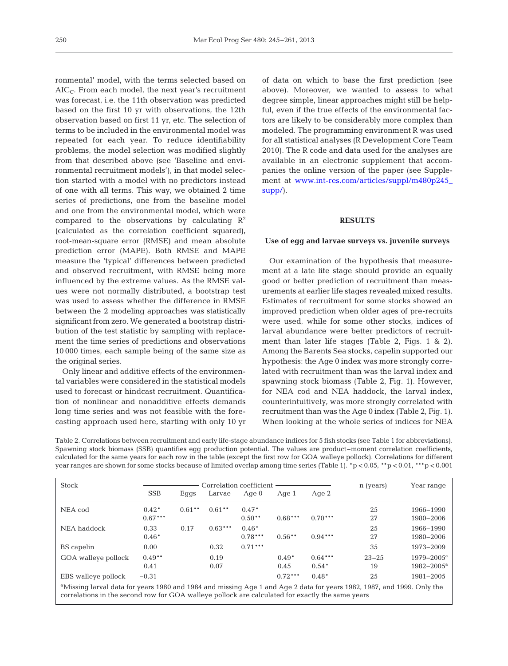ronmental' model, with the terms selected based on  $AIC_C$ . From each model, the next year's recruitment was forecast, i.e. the 11th observation was predicted based on the first 10 yr with observations, the 12th observation based on first 11 yr, etc. The selection of terms to be included in the environmental model was repeated for each year. To reduce identifiability problems, the model selection was modified slightly from that described above (see 'Baseline and environmental recruitment models'), in that model selection started with a model with no predictors instead of one with all terms. This way, we obtained 2 time series of predictions, one from the baseline model and one from the environmental model, which were compared to the observations by calculating  $\mathbb{R}^2$ (calculated as the correlation coefficient squared), root-mean-square error (RMSE) and mean absolute prediction error (MAPE). Both RMSE and MAPE measure the 'typical' differences between predicted and observed recruitment, with RMSE being more influenced by the extreme values. As the RMSE values were not normally distributed, a bootstrap test was used to assess whether the difference in RMSE between the 2 modeling approaches was statistically significant from zero. We generated a bootstrap distribution of the test statistic by sampling with replacement the time series of predictions and observations 10 000 times, each sample being of the same size as the original series.

Only linear and additive effects of the environmental variables were considered in the statistical models used to forecast or hindcast recruitment. Quantification of nonlinear and nonadditive effects demands long time series and was not feasible with the forecasting approach used here, starting with only 10 yr

of data on which to base the first prediction (see above). Moreover, we wanted to assess to what degree simple, linear approaches might still be helpful, even if the true effects of the environmental factors are likely to be considerably more complex than modeled. The programming environment R was used for all statistical analyses (R Development Core Team 2010). The R code and data used for the analyses are available in an electronic supplement that accompanies the online version of the paper (see Supplement at www.int-res.com/articles/suppl/m480p245\_ [supp/\)](http://www.int-res.com/articles/suppl/m480p245_supp/).

#### **RESULTS**

#### **Use of egg and larvae surveys vs. juvenile surveys**

Our examination of the hypothesis that measurement at a late life stage should provide an equally good or better prediction of recruitment than measurements at earlier life stages revealed mixed results. Estimates of recruitment for some stocks showed an improved prediction when older ages of pre-recruits were used, while for some other stocks, indices of larval abundance were better predictors of recruitment than later life stages (Table 2, Figs. 1 & 2). Among the Barents Sea stocks, capelin supported our hypothesis: the Age 0 index was more strongly correlated with recruitment than was the larval index and spawning stock biomass (Table 2, Fig. 1). However, for NEA cod and NEA haddock, the larval index, counterintuitively, was more strongly correlated with recruitment than was the Age 0 index (Table 2, Fig. 1). When looking at the whole series of indices for NEA

Table 2. Correlations between recruitment and early life-stage abundance indices for 5 fish stocks (see Table 1 for abbreviations). Spawning stock biomass (SSB) quantifies egg production potential. The values are product–moment correlation coefficients, calculated for the same years for each row in the table (except the first row for GOA walleye pollock). Correlations for different year ranges are shown for some stocks because of limited overlap among time series (Table 1). \*p < 0.05, \*\*p < 0.01, \*\*\*p < 0.001

| <b>Stock</b>                                                                                                                                                                                                                           |                      | Correlation coefficient |              |                      |                 |                      | n (years)       | Year range                         |
|----------------------------------------------------------------------------------------------------------------------------------------------------------------------------------------------------------------------------------------|----------------------|-------------------------|--------------|----------------------|-----------------|----------------------|-----------------|------------------------------------|
|                                                                                                                                                                                                                                        | <b>SSB</b>           | Eggs                    | Larvae       | Age $0$              | Age 1           | Age $2$              |                 |                                    |
| NEA cod                                                                                                                                                                                                                                | $0.42*$<br>$0.67***$ | $0.61**$                | $0.61**$     | $0.47*$<br>$0.50**$  | $0.68***$       | $0.70***$            | 25<br>27        | 1966-1990<br>1980-2006             |
| NEA haddock                                                                                                                                                                                                                            | 0.33<br>$0.46*$      | 0.17                    | $0.63***$    | $0.46*$<br>$0.78***$ | $0.56**$        | $0.94***$            | 25<br>27        | 1966-1990<br>1980-2006             |
| BS capelin                                                                                                                                                                                                                             | 0.00                 |                         | 0.32         | $0.71***$            |                 |                      | 35              | 1973-2009                          |
| GOA walleye pollock                                                                                                                                                                                                                    | $0.49**$<br>0.41     |                         | 0.19<br>0.07 |                      | $0.49*$<br>0.45 | $0.64***$<br>$0.54*$ | $23 - 25$<br>19 | $1979 - 2005^a$<br>$1982 - 2005^a$ |
| EBS walleye pollock                                                                                                                                                                                                                    | $-0.31$              |                         |              |                      | $0.72***$       | $0.48*$              | 25              | 1981-2005                          |
| <sup>a</sup> Missing larval data for years 1980 and 1984 and missing Age 1 and Age 2 data for years 1982, 1987, and 1999. Only the<br>correlations in the second row for GOA walleye pollock are calculated for exactly the same years |                      |                         |              |                      |                 |                      |                 |                                    |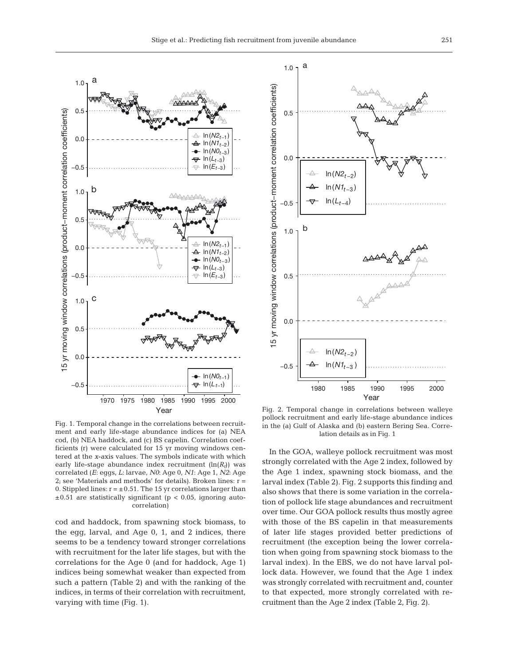

Fig. 1. Temporal change in the correlations between recruitment and early life-stage abundance indices for (a) NEA cod, (b) NEA haddock, and (c) BS capelin. Correlation coefficients (r) were calculated for 15 yr moving windows centered at the *x*-axis values. The symbols indicate with which early life-stage abundance index recruitment  $(ln(R<sub>t</sub>))$  was correlated (*E*: eggs, *L*: larvae, *N0*: Age 0, *N1*: Age 1, *N2*: Age 2; see 'Materials and methods' for details). Broken lines:  $r =$ 0. Stippled lines:  $r = \pm 0.51$ . The 15 yr correlations larger than  $\pm 0.51$  are statistically significant (p < 0.05, ignoring autocorrelation)

cod and haddock, from spawning stock biomass, to the egg, larval, and Age 0, 1, and 2 indices, there seems to be a tendency toward stronger correlations with recruitment for the later life stages, but with the correlations for the Age 0 (and for haddock, Age 1) indices being somewhat weaker than expected from such a pattern (Table 2) and with the ranking of the indices, in terms of their correlation with recruitment, varying with time (Fig. 1).



Fig. 2. Temporal change in correlations between walleye pollock recruitment and early life-stage abundance indices in the (a) Gulf of Alaska and (b) eastern Bering Sea. Correlation details as in Fig. 1

In the GOA, walleye pollock recruitment was most strongly correlated with the Age 2 index, followed by the Age 1 index, spawning stock biomass, and the larval index (Table 2). Fig. 2 supports this finding and also shows that there is some variation in the correlation of pollock life stage abundances and recruitment over time. Our GOA pollock results thus mostly agree with those of the BS capelin in that measurements of later life stages provided better predictions of recruitment (the exception being the lower correlation when going from spawning stock biomass to the larval index). In the EBS, we do not have larval pollock data. However, we found that the Age 1 index was strongly correlated with recruitment and, counter to that expected, more strongly correlated with recruitment than the Age 2 index (Table 2, Fig. 2).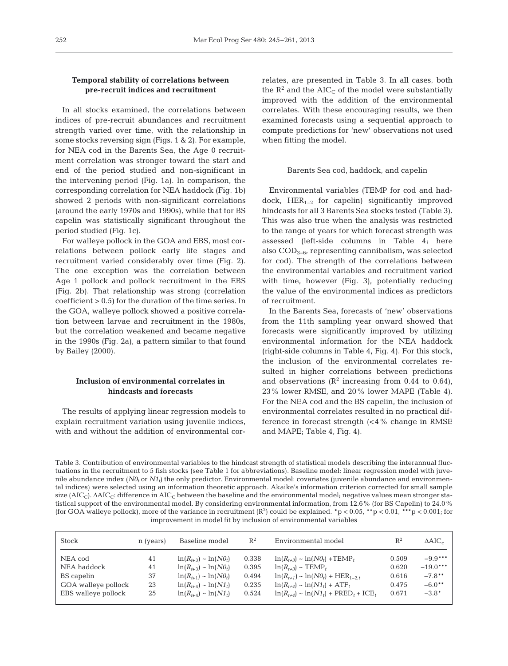## **Temporal stability of correlations between pre-recruit indices and recruitment**

In all stocks examined, the correlations between indices of pre-recruit abundances and recruitment strength varied over time, with the relationship in some stocks reversing sign (Figs. 1 & 2). For example, for NEA cod in the Barents Sea, the Age 0 recruitment correlation was stronger toward the start and end of the period studied and non-significant in the intervening period (Fig. 1a). In comparison, the corresponding correlation for NEA haddock (Fig. 1b) showed 2 periods with non-significant correlations (around the early 1970s and 1990s), while that for BS capelin was statistically significant throughout the period studied (Fig. 1c).

For walleye pollock in the GOA and EBS, most correlations between pollock early life stages and recruitment varied considerably over time (Fig. 2). The one exception was the correlation between Age 1 pollock and pollock recruitment in the EBS (Fig. 2b). That relationship was strong (correlation coefficient > 0.5) for the duration of the time series. In the GOA, walleye pollock showed a positive correlation between larvae and recruitment in the 1980s, but the correlation weakened and became negative in the 1990s (Fig. 2a), a pattern similar to that found by Bailey (2000).

## **Inclusion of environmental correlates in hindcasts and forecasts**

The results of applying linear regression models to explain recruitment variation using juvenile indices, with and without the addition of environmental correlates, are presented in Table 3. In all cases, both the  $R^2$  and the AIC<sub>C</sub> of the model were substantially improved with the addition of the environmental correlates. With these encouraging results, we then examined forecasts using a sequential approach to compute predictions for 'new' observations not used when fitting the model.

#### Barents Sea cod, haddock, and capelin

Environmental variables (TEMP for cod and haddock,  $HER_{1-2}$  for capelin) significantly improved hindcasts for all 3 Barents Sea stocks tested (Table 3). This was also true when the analysis was restricted to the range of years for which forecast strength was assessed (left-side columns in Table 4; here also COD3−6, representing cannibalism, was selected for cod). The strength of the correlations between the environmental variables and recruitment varied with time, however (Fig. 3), potentially reducing the value of the environmental indices as predictors of recruitment.

In the Barents Sea, forecasts of 'new' observations from the 11th sampling year onward showed that forecasts were significantly improved by utilizing environmental information for the NEA haddock (right-side columns in Table 4, Fig. 4). For this stock, the inclusion of the environmental correlates resulted in higher correlations between predictions and observations  $(R^2$  increasing from 0.44 to 0.64), 23% lower RMSE, and 20% lower MAPE (Table 4). For the NEA cod and the BS capelin, the inclusion of environmental correlates resulted in no practical difference in forecast strength  $\langle$  <4% change in RMSE and MAPE; Table 4, Fig. 4).

Table 3. Contribution of environmental variables to the hindcast strength of statistical models describing the interannual fluctuations in the recruitment to 5 fish stocks (see Table 1 for abbreviations). Baseline model: linear regression model with juvenile abundance index  $(N0<sub>t</sub>$  or  $N1<sub>t</sub>$ ) the only predictor. Environmental model: covariates (juvenile abundance and environmental indices) were selected using an information theoretic approach. Akaike's information criterion corrected for small sample size ( $AIC_C$ ).  $\Delta AIC_C$ : difference in  $AIC_C$  between the baseline and the environmental model; negative values mean stronger statistical support of the environmental model. By considering environmental information, from 12.6% (for BS Capelin) to 24.0% (for GOA walleye pollock), more of the variance in recruitment  $(R^2)$  could be explained. \*p < 0.05, \*\*p < 0.01, \*\*\*p < 0.001; for improvement in model fit by inclusion of environmental variables

| Stock               | n (years) | Baseline model                     | $\mathbb{R}^2$ | Environmental model                              | $R^2$ | $\triangle AIC_c$ |
|---------------------|-----------|------------------------------------|----------------|--------------------------------------------------|-------|-------------------|
| NEA cod             | 41        | $\ln(R_{t+3}) \sim \ln(N\theta_t)$ | 0.338          | $ln(R_{t+3}) \sim ln(N\theta_t) + \text{TEMP}_t$ | 0.509 | $-9.9***$         |
| NEA haddock         | 41        | $\ln(R_{t+3}) \sim \ln(N\theta_t)$ | 0.395          | $ln(R_{t+3}) \sim \text{TEMP}_t$                 | 0.620 | $-19.0***$        |
| BS capelin          | 37        | $\ln(R_{t+1}) \sim \ln(N\theta_t)$ | 0.494          | $\ln(R_{t+1}) \sim \ln(NO_t) + HER_{1-2,t}$      | 0.616 | $-7.8**$          |
| GOA walleye pollock | 23        | $\ln(R_{t+4}) \sim \ln(N1_t)$      | 0.235          | $ln(R_{t+4}) \sim ln(N1_t) + ATF_t$              | 0.475 | $-6.0**$          |
| EBS walleye pollock | 25        | $\ln(R_{t+4}) \sim \ln(N1_t)$      | 0.524          | $ln(R_{t+4}) \sim ln(N1_t) + PRED_t + ICE_t$     | 0.671 | $-3.8*$           |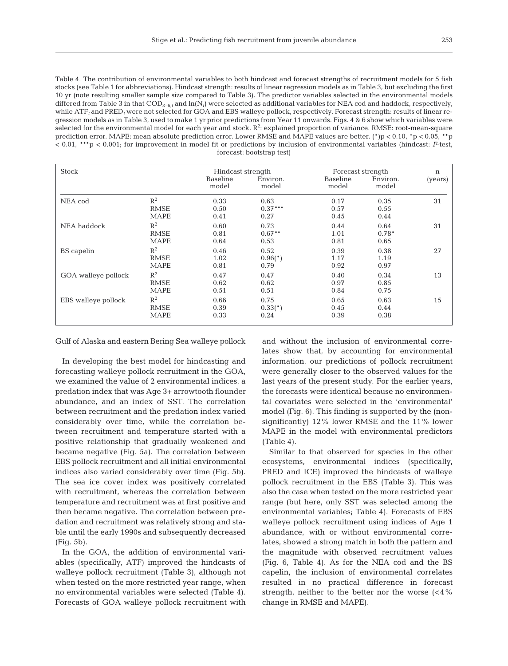Table 4. The contribution of environmental variables to both hindcast and forecast strengths of recruitment models for 5 fish stocks (see Table 1 for abbreviations). Hindcast strength: results of linear regression models as in Table 3, but excluding the first 10 yr (note resulting smaller sample size compared to Table 3). The predictor variables selected in the environmental models differed from Table 3 in that COD3−6,*<sup>t</sup>* and ln(N*t*) were selected as additional variables for NEA cod and haddock, respectively, while ATF<sub>t</sub> and PRED<sub>t</sub> were not selected for GOA and EBS walleye pollock, respectively. Forecast strength: results of linear regression models as in Table 3, used to make 1 yr prior predictions from Year 11 onwards. Figs. 4 & 6 show which variables were selected for the environmental model for each year and stock.  $R^2$ : explained proportion of variance. RMSE: root-mean-square prediction error. MAPE: mean absolute prediction error. Lower RMSE and MAPE values are better. (\*)p < 0.10, \*p < 0.05, \*\*p < 0.01, \*\*\*p < 0.001; for improvement in model fit or predictions by inclusion of environmental variables (hindcast: *F*-test, forecast: bootstrap test)

| <b>Stock</b>        |                                     | Hindcast strength<br>Baseline<br>model | Environ.<br>model         | Forecast strength<br>Baseline<br>model | Environ.<br>model       | $\mathbf n$<br>(years) |
|---------------------|-------------------------------------|----------------------------------------|---------------------------|----------------------------------------|-------------------------|------------------------|
| NEA cod             | $R^2$<br><b>RMSE</b><br><b>MAPE</b> | 0.33<br>0.50<br>0.41                   | 0.63<br>$0.37***$<br>0.27 | 0.17<br>0.57<br>0.45                   | 0.35<br>0.55<br>0.44    | 31                     |
| NEA haddock         | $R^2$<br><b>RMSE</b><br><b>MAPE</b> | 0.60<br>0.81<br>0.64                   | 0.73<br>$0.67***$<br>0.53 | 0.44<br>1.01<br>0.81                   | 0.64<br>$0.78*$<br>0.65 | 31                     |
| BS capelin          | $R^2$<br><b>RMSE</b><br><b>MAPE</b> | 0.46<br>1.02<br>0.81                   | 0.52<br>$0.96(*)$<br>0.79 | 0.39<br>1.17<br>0.92                   | 0.38<br>1.19<br>0.97    | 27                     |
| GOA walleye pollock | $R^2$<br><b>RMSE</b><br><b>MAPE</b> | 0.47<br>0.62<br>0.51                   | 0.47<br>0.62<br>0.51      | 0.40<br>0.97<br>0.84                   | 0.34<br>0.85<br>0.75    | 13                     |
| EBS walleye pollock | $R^2$<br><b>RMSE</b><br><b>MAPE</b> | 0.66<br>0.39<br>0.33                   | 0.75<br>$0.33(*)$<br>0.24 | 0.65<br>0.45<br>0.39                   | 0.63<br>0.44<br>0.38    | 15                     |

Gulf of Alaska and eastern Bering Sea walleye pollock

In developing the best model for hindcasting and forecasting walleye pollock recruitment in the GOA, we examined the value of 2 environmental indices, a predation index that was Age 3+ arrowtooth flounder abundance, and an index of SST. The correlation between recruitment and the predation index varied considerably over time, while the correlation be tween recruitment and temperature started with a positive relationship that gradually weakened and became negative (Fig. 5a). The correlation between EBS pollock recruitment and all initial environmental indices also varied considerably over time (Fig. 5b). The sea ice cover index was positively correlated with recruitment, whereas the correlation between temperature and recruitment was at first positive and then became negative. The correlation between predation and recruitment was relatively strong and stable until the early 1990s and subsequently decreased (Fig. 5b).

In the GOA, the addition of environmental variables (specifically, ATF) improved the hindcasts of walleye pollock recruitment (Table 3), although not when tested on the more restricted year range, when no environmental variables were selected (Table 4). Forecasts of GOA walleye pollock recruitment with

and without the inclusion of environmental correlates show that, by accounting for environmental information, our predictions of pollock recruitment were generally closer to the observed values for the last years of the present study. For the earlier years, the forecasts were identical because no environmental covariates were selected in the 'environmental' model (Fig. 6). This finding is supported by the (nonsignificantly) 12% lower RMSE and the 11% lower MAPE in the model with environmental predictors (Table 4).

Similar to that observed for species in the other ecosystems, environmental indices (specifically, PRED and ICE) improved the hindcasts of walleye pollock recruitment in the EBS (Table 3). This was also the case when tested on the more restricted year range (but here, only SST was selected among the environmental variables; Table 4). Forecasts of EBS walleye pollock recruitment using indices of Age 1 abundance, with or without environmental correlates, showed a strong match in both the pattern and the magnitude with observed recruitment values (Fig. 6, Table 4). As for the NEA cod and the BS capelin, the inclusion of environmental correlates resulted in no practical difference in forecast strength, neither to the better nor the worse  $\left( < 4 \% \right)$ change in RMSE and MAPE).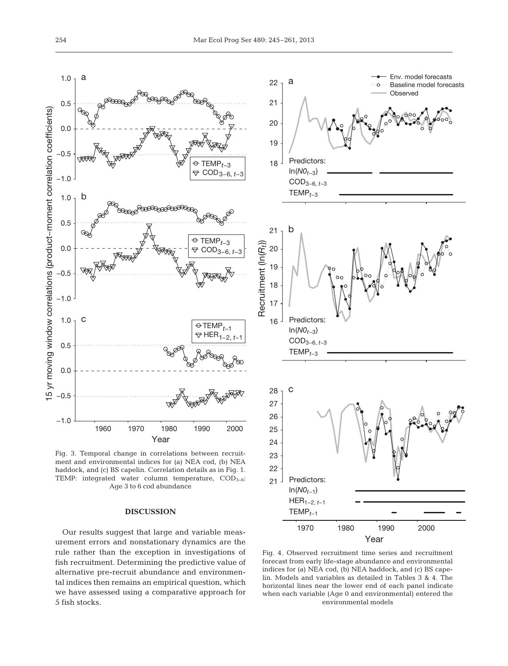

Fig. 3. Temporal change in correlations between recruitment and environmental indices for (a) NEA cod, (b) NEA haddock, and (c) BS capelin. Correlation details as in Fig. 1. TEMP: integrated water column temperature,  $\text{COD}_{3-6}$ : Age 3 to 6 cod abundance

## **DISCUSSION**

Our results suggest that large and variable measurement errors and nonstationary dynamics are the rule rather than the exception in investigations of fish recruitment. Determining the predictive value of alternative pre-recruit abundance and environmental indices then remains an empirical question, which we have assessed using a comparative approach for 5 fish stocks.



Fig. 4. Observed recruitment time series and recruitment forecast from early life-stage abundance and environmental indices for (a) NEA cod, (b) NEA haddock, and (c) BS cape lin. Models and variables as detailed in Tables 3 & 4. The horizontal lines near the lower end of each panel indicate when each variable (Age 0 and environmental) entered the environmental models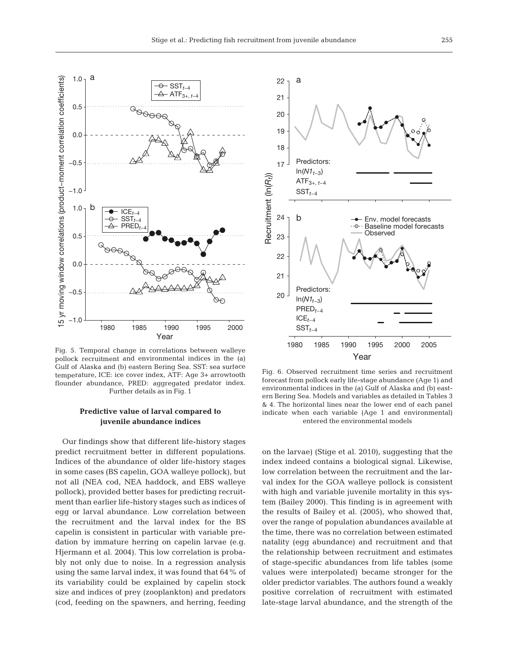

Fig. 5. Temporal change in correlations between walleye pollock recruitment and environmental indices in the (a) Gulf of Alaska and (b) eastern Bering Sea. SST: sea surface temperature, ICE: ice cover index, ATF: Age 3+ arrowtooth flounder abundance, PRED: aggregated predator index. Further details as in Fig. 1

## **Predictive value of larval compared to juvenile abundance indices**

Our findings show that different life-history stages predict recruitment better in different populations. Indices of the abundance of older life-history stages in some cases (BS capelin, GOA walleye pollock), but not all (NEA cod, NEA haddock, and EBS walleye pollock), provided better bases for predicting recruitment than earlier life-history stages such as indices of egg or larval abundance. Low correlation between the recruitment and the larval index for the BS capelin is consistent in particular with variable predation by immature herring on capelin larvae (e.g. Hjermann et al. 2004). This low correlation is probably not only due to noise. In a regression analysis using the same larval index, it was found that 64% of its variability could be explained by capelin stock size and indices of prey (zooplankton) and predators (cod, feeding on the spawners, and herring, feeding



Fig. 6. Observed recruitment time series and recruitment forecast from pollock early life-stage abundance (Age 1) and environmental indices in the (a) Gulf of Alaska and (b) eastern Bering Sea. Models and variables as detailed in Tables 3 & 4. The horizontal lines near the lower end of each panel indicate when each variable (Age 1 and environmental) entered the environmental models

on the larvae) (Stige et al. 2010), suggesting that the index indeed contains a biological signal. Likewise, low correlation between the recruitment and the larval index for the GOA walleye pollock is consistent with high and variable juvenile mortality in this system (Bailey 2000). This finding is in agreement with the results of Bailey et al. (2005), who showed that, over the range of population abundances available at the time, there was no correlation between estimated natality (egg abundance) and recruitment and that the relationship between recruitment and estimates of stage-specific abundances from life tables (some values were interpolated) became stronger for the older predictor variables. The authors found a weakly positive correlation of recruitment with estimated late-stage larval abundance, and the strength of the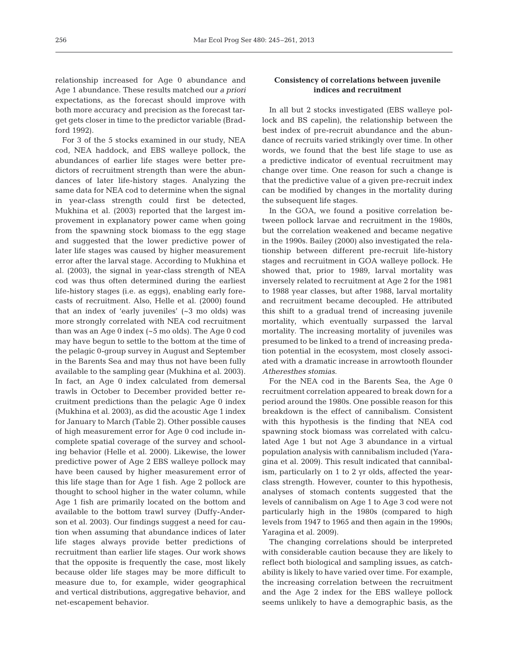relationship increased for Age 0 abundance and Age 1 abundance. These results matched our *a priori* ex pectations, as the forecast should improve with both more accuracy and precision as the forecast target gets closer in time to the predictor variable (Bradford 1992).

For 3 of the 5 stocks examined in our study, NEA cod, NEA haddock, and EBS walleye pollock, the abundances of earlier life stages were better predictors of recruitment strength than were the abundances of later life-history stages. Analyzing the same data for NEA cod to determine when the signal in year-class strength could first be detected, Mukhina et al. (2003) reported that the largest improvement in explanatory power came when going from the spawning stock biomass to the egg stage and suggested that the lower predictive power of later life stages was caused by higher measurement error after the larval stage. According to Mukhina et al. (2003), the signal in year-class strength of NEA cod was thus often determined during the earliest life-history stages (i.e. as eggs), enabling early forecasts of recruitment. Also, Helle et al. (2000) found that an index of 'early juveniles' (~3 mo olds) was more strongly correlated with NEA cod recruitment than was an Age 0 index (~5 mo olds). The Age 0 cod may have begun to settle to the bottom at the time of the pelagic 0-group survey in August and September in the Barents Sea and may thus not have been fully available to the sampling gear (Mukhina et al. 2003). In fact, an Age 0 index calculated from demersal trawls in October to December provided better re cruitment predictions than the pelagic Age 0 index (Mukhina et al. 2003), as did the acoustic Age 1 index for January to March (Table 2). Other possible causes of high measurement error for Age 0 cod include in complete spatial coverage of the survey and schooling behavior (Helle et al. 2000). Likewise, the lower predictive power of Age 2 EBS walleye pollock may have been caused by higher measurement error of this life stage than for Age 1 fish. Age 2 pollock are thought to school higher in the water column, while Age 1 fish are primarily located on the bottom and available to the bottom trawl survey (Duffy-Anderson et al. 2003). Our findings suggest a need for caution when assuming that abundance indices of later life stages always provide better predictions of recruitment than earlier life stages. Our work shows that the opposite is frequently the case, most likely because older life stages may be more difficult to measure due to, for example, wider geographical and vertical distributions, aggregative behavior, and net-escapement behavior.

## **Consistency of correlations between juvenile indices and recruitment**

In all but 2 stocks investigated (EBS walleye pollock and BS capelin), the relationship between the best index of pre-recruit abundance and the abundance of recruits varied strikingly over time. In other words, we found that the best life stage to use as a predictive indicator of eventual recruitment may change over time. One reason for such a change is that the predictive value of a given pre-recruit index can be modified by changes in the mortality during the subsequent life stages.

In the GOA, we found a positive correlation between pollock larvae and recruitment in the 1980s, but the correlation weakened and became negative in the 1990s. Bailey (2000) also investigated the relationship between different pre-recruit life-history stages and recruitment in GOA walleye pollock. He showed that, prior to 1989, larval mortality was inversely related to recruitment at Age 2 for the 1981 to 1988 year classes, but after 1988, larval mortality and recruitment became decoupled. He attributed this shift to a gradual trend of increasing juvenile mortality, which eventually surpassed the larval mortality. The increasing mortality of juveniles was presumed to be linked to a trend of increasing predation potential in the ecosystem, most closely associated with a dramatic increase in arrowtooth flounder *Atheresthes stomias*.

For the NEA cod in the Barents Sea, the Age 0 recruitment correlation appeared to break down for a period around the 1980s. One possible reason for this breakdown is the effect of cannibalism. Consistent with this hypothesis is the finding that NEA cod spawning stock biomass was correlated with calculated Age 1 but not Age 3 abundance in a virtual population analysis with cannibalism included (Yara gina et al. 2009). This result indicated that cannibalism, particularly on 1 to 2 yr olds, affected the yearclass strength. However, counter to this hypothesis, analyses of stomach contents suggested that the levels of cannibalism on Age 1 to Age 3 cod were not particularly high in the 1980s (compared to high levels from 1947 to 1965 and then again in the 1990s; Yaragina et al. 2009).

The changing correlations should be interpreted with considerable caution because they are likely to reflect both biological and sampling issues, as catchability is likely to have varied over time. For example, the increasing correlation between the recruitment and the Age 2 index for the EBS walleye pollock seems unlikely to have a demographic basis, as the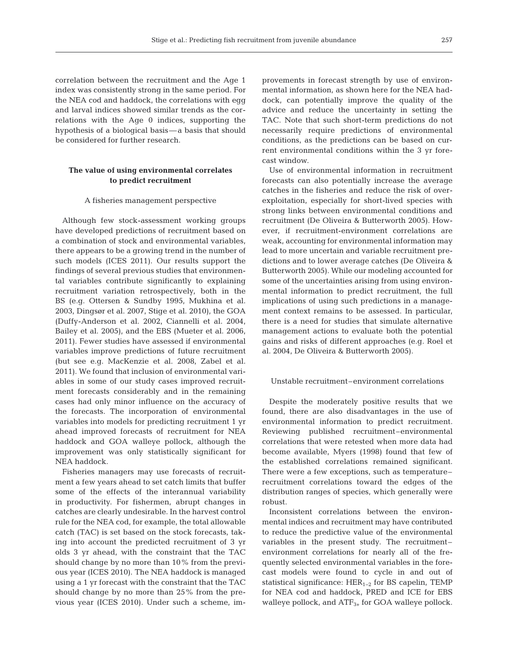correlation between the recruitment and the Age 1 index was consistently strong in the same period. For the NEA cod and haddock, the correlations with egg and larval indices showed similar trends as the correlations with the Age 0 indices, supporting the hypothesis of a biological basis—a basis that should be considered for further research.

## **The value of using environmental correlates to predict recruitment**

#### A fisheries management perspective

Although few stock-assessment working groups have developed predictions of recruitment based on a combination of stock and environmental variables, there appears to be a growing trend in the number of such models (ICES 2011). Our results support the findings of several previous studies that environmental variables contribute significantly to explaining recruitment variation retrospectively, both in the BS (e.g. Ottersen & Sundby 1995, Mukhina et al. 2003, Dingsør et al. 2007, Stige et al. 2010), the GOA (Duffy-Anderson et al. 2002, Ciannelli et al. 2004, Bailey et al. 2005), and the EBS (Mueter et al. 2006, 2011). Fewer studies have assessed if environmental variables improve predictions of future recruitment (but see e.g. MacKenzie et al. 2008, Zabel et al. 2011). We found that inclusion of environmental variables in some of our study cases improved recruitment forecasts considerably and in the remaining cases had only minor influence on the accuracy of the forecasts. The incorporation of environmental variables into models for predicting recruitment 1 yr ahead improved forecasts of recruitment for NEA haddock and GOA walleye pollock, although the improvement was only statistically significant for NEA haddock.

Fisheries managers may use forecasts of recruitment a few years ahead to set catch limits that buffer some of the effects of the interannual variability in productivity. For fishermen, abrupt changes in catches are clearly undesirable. In the harvest control rule for the NEA cod, for example, the total allowable catch (TAC) is set based on the stock forecasts, taking into account the predicted recruitment of 3 yr olds 3 yr ahead, with the constraint that the TAC should change by no more than 10% from the previous year (ICES 2010). The NEA haddock is managed using a 1 yr forecast with the constraint that the TAC should change by no more than 25% from the previous year (ICES 2010). Under such a scheme, improvements in forecast strength by use of environmental information, as shown here for the NEA haddock, can potentially improve the quality of the advice and reduce the uncertainty in setting the TAC. Note that such short-term predictions do not necessarily require predictions of environmental conditions, as the predictions can be based on current environmental conditions within the 3 yr forecast window.

Use of environmental information in recruitment forecasts can also potentially increase the average catches in the fisheries and reduce the risk of over exploitation, especially for short-lived species with strong links between environmental conditions and recruitment (De Oliveira & Butterworth 2005). However, if recruitment-environment correlations are weak, accounting for environmental information may lead to more uncertain and variable recruitment predictions and to lower average catches (De Oliveira & Butterworth 2005). While our modeling accounted for some of the uncertainties arising from using environmental information to predict recruitment, the full implications of using such predictions in a management context remains to be assessed. In particular, there is a need for studies that simulate alternative management actions to evaluate both the potential gains and risks of different approaches (e.g. Roel et al. 2004, De Oliveira & Butterworth 2005).

## Unstable recruitment–environment correlations

Despite the moderately positive results that we found, there are also disadvantages in the use of environmental information to predict recruitment. Reviewing published recruitment–environmental correlations that were retested when more data had become available, Myers (1998) found that few of the established correlations remained significant. There were a few exceptions, such as temperature– recruitment correlations toward the edges of the distribution ranges of species, which generally were robust.

Inconsistent correlations between the environmental indices and recruitment may have contributed to reduce the predictive value of the environmental variables in the present study. The recruitment– environment correlations for nearly all of the frequently selected environmental variables in the forecast models were found to cycle in and out of statistical significance:  $HER_{1-2}$  for BS capelin, TEMP for NEA cod and haddock, PRED and ICE for EBS walleye pollock, and ATF<sub>3+</sub> for GOA walleye pollock.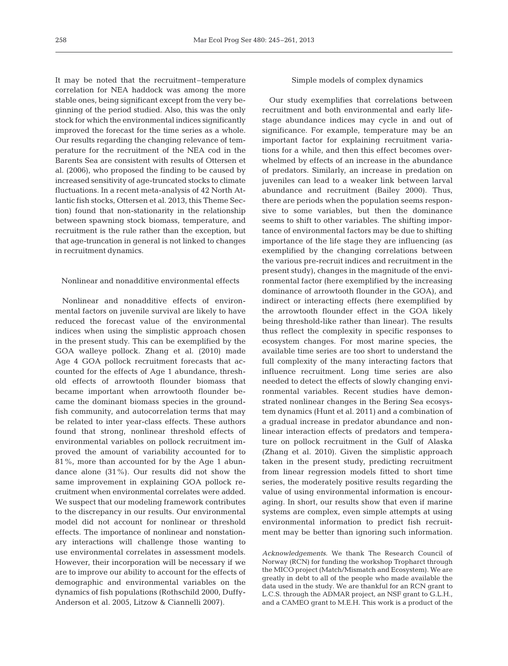It may be noted that the recruitment–temperature correlation for NEA haddock was among the more stable ones, being significant except from the very beginning of the period studied. Also, this was the only stock for which the environmental indices significantly improved the forecast for the time series as a whole. Our results regarding the changing relevance of temperature for the recruitment of the NEA cod in the Barents Sea are consistent with results of Ottersen et al. (2006), who proposed the finding to be caused by increased sensitivity of age-truncated stocks to climate fluctuations. In a recent meta-analysis of 42 North Atlantic fish stocks, Ottersen et al. 2013, this Theme Section) found that non-stationarity in the relationship between spawning stock biomass, temperature, and recruitment is the rule rather than the exception, but that age-truncation in general is not linked to changes in recruitment dynamics.

## Nonlinear and nonadditive environmental effects

Nonlinear and nonadditive effects of environmental factors on juvenile survival are likely to have reduced the forecast value of the environmental indices when using the simplistic approach chosen in the present study. This can be exemplified by the GOA walleye pollock. Zhang et al. (2010) made Age 4 GOA pollock recruitment forecasts that accounted for the effects of Age 1 abundance, threshold effects of arrowtooth flounder biomass that became important when arrowtooth flounder became the dominant biomass species in the groundfish community, and autocorrelation terms that may be related to inter year-class effects. These authors found that strong, nonlinear threshold effects of environmental variables on pollock recruitment improved the amount of variability accounted for to 81%, more than accounted for by the Age 1 abundance alone (31%). Our results did not show the same improvement in explaining GOA pollock recruitment when environmental correlates were added. We suspect that our modeling framework contributes to the discrepancy in our results. Our environmental model did not account for nonlinear or threshold effects. The im portance of nonlinear and nonstationary interactions will challenge those wanting to use environmental correlates in assessment models. However, their incorporation will be necessary if we are to improve our ability to account for the effects of demographic and environmental variables on the dynamics of fish populations (Rothschild 2000, Duffy-Anderson et al. 2005, Litzow & Ciannelli 2007).

#### Simple models of complex dynamics

Our study exemplifies that correlations between recruitment and both environmental and early lifestage abundance indices may cycle in and out of significance. For example, temperature may be an important factor for explaining recruitment variations for a while, and then this effect becomes overwhelmed by effects of an increase in the abundance of predators. Similarly, an increase in predation on juveniles can lead to a weaker link between larval abundance and recruitment (Bailey 2000). Thus, there are periods when the population seems responsive to some variables, but then the dominance seems to shift to other variables. The shifting importance of environmental factors may be due to shifting importance of the life stage they are influencing (as exemplified by the changing correlations between the various pre-recruit indices and recruitment in the present study), changes in the magnitude of the environmental factor (here exemplified by the increasing dominance of arrowtooth flounder in the GOA), and indirect or interacting effects (here exemplified by the arrowtooth flounder effect in the GOA likely being threshold-like rather than linear). The results thus reflect the complexity in specific responses to ecosystem changes. For most marine species, the available time series are too short to understand the full complexity of the many interacting factors that influence recruitment. Long time series are also needed to detect the effects of slowly changing environmental variables. Recent studies have demonstrated nonlinear changes in the Bering Sea ecosystem dynamics (Hunt et al. 2011) and a combination of a gradual increase in predator abundance and nonlinear interaction effects of predators and temperature on pollock recruitment in the Gulf of Alaska (Zhang et al. 2010). Given the simplistic approach taken in the present study, predicting recruitment from linear regression models fitted to short time series, the moderately positive results regarding the value of using environmental information is encouraging. In short, our results show that even if marine systems are complex, even simple attempts at using environmental information to predict fish recruitment may be better than ignoring such information.

*Acknowledgements.* We thank The Research Council of Norway (RCN) for funding the workshop Tropharct through the MICO project (Match/Mismatch and Ecosystem). We are greatly in debt to all of the people who made available the data used in the study. We are thankful for an RCN grant to L.C.S. through the ADMAR project, an NSF grant to G.L.H., and a CAMEO grant to M.E.H. This work is a product of the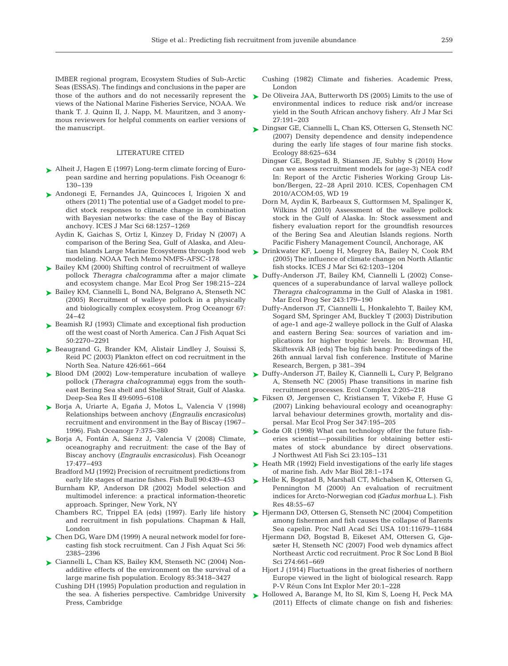IMBER regional program, Ecosystem Studies of Sub-Arctic Seas (ESSAS). The findings and conclusions in the paper are those of the authors and do not necessarily represent the views of the National Marine Fisheries Service, NOAA. We thank T. J. Quinn II, J. Napp, M. Mauritzen, and 3 anonymous reviewers for helpful comments on earlier versions of the manuscript.

#### LITERATURE CITED

- ► Alheit J, Hagen E (1997) Long-term climate forcing of European sardine and herring populations. Fish Oceanogr 6: 130−139
- ▶ Andonegi E, Fernandes JA, Quincoces I, Irigoien X and others (2011) The potential use of a Gadget model to predict stock responses to climate change in combination with Bayesian networks: the case of the Bay of Biscay anchovy. ICES J Mar Sci 68: 1257−1269
	- Aydin K, Gaichas S, Ortiz I, Kinzey D, Friday N (2007) A comparison of the Bering Sea, Gulf of Alaska, and Aleutian Islands Large Marine Ecosystems through food web modeling. NOAA Tech Memo NMFS-AFSC-178
- ► Bailey KM (2000) Shifting control of recruitment of walleye pollock *Theragra chalcogramma* after a major climate and ecosystem change. Mar Ecol Prog Ser 198:215-224
- ► Bailey KM, Ciannelli L, Bond NA, Belgrano A, Stenseth NC (2005) Recruitment of walleye pollock in a physically and biologically complex ecosystem. Prog Oceanogr 67: 24−42
- ▶ Beamish RJ (1993) Climate and exceptional fish production off the west coast of North America. Can J Fish Aquat Sci 50: 2270−2291
- ▶ Beaugrand G, Brander KM, Alistair Lindley J, Souissi S, Reid PC (2003) Plankton effect on cod recruitment in the North Sea. Nature 426:661-664
- ▶ Blood DM (2002) Low-temperature incubation of walleye pollock (*Theragra chalcogramma*) eggs from the southeast Bering Sea shelf and Shelikof Strait, Gulf of Alaska. Deep-Sea Res II 49:6095-6108
- ▶ Borja A, Uriarte A, Egaña J, Motos L, Valencia V (1998) Relationships between anchovy (*Engraulis encrasicolus*) recruitment and environment in the Bay of Biscay (1967– 1996). Fish Oceanogr 7: 375−380
- ▶ Borja A, Fontán A, Sáenz J, Valencia V (2008) Climate, oceanography and recruitment: the case of the Bay of Biscay anchovy (*Engraulis encrasicolus)*. Fish Oceanogr 17: 477−493
	- Bradford MJ (1992) Precision of recruitment predictions from early life stages of marine fishes. Fish Bull 90:439-453
	- Burnham KP, Anderson DR (2002) Model selection and multimodel inference: a practical information-theoretic approach. Springer, New York, NY
	- Chambers RC, Trippel EA (eds) (1997). Early life history and recruitment in fish populations. Chapman & Hall, London
- ► Chen DG, Ware DM (1999) A neural network model for forecasting fish stock recruitment. Can J Fish Aquat Sci 56: 2385−2396
- ► Ciannelli L, Chan KS, Bailey KM, Stenseth NC (2004) Nonadditive effects of the environment on the survival of a large marine fish population. Ecology 85: 3418−3427
	- Cushing DH (1995) Population production and regulation in the sea. A fisheries perspective. Cambridge University Press, Cambridge
- Cushing (1982) Climate and fisheries. Academic Press, London
- ▶ De Oliveira JAA, Butterworth DS (2005) Limits to the use of environmental indices to reduce risk and/or increase yield in the South African anchovy fishery. Afr J Mar Sci 27: 191−203
- ► Dingsør GE, Ciannelli L, Chan KS, Ottersen G, Stenseth NC (2007) Density dependence and density independence during the early life stages of four marine fish stocks. Ecology 88:625-634
	- Dingsør GE, Bogstad B, Stiansen JE, Subby S (2010) How can we assess recruitment models for (age-3) NEA cod? In: Report of the Arctic Fisheries Working Group Lisbon/Bergen, 22–28 April 2010. ICES, Copenhagen CM 2010/ACOM:05, WD 19
	- Dorn M, Aydin K, Barbeaux S, Guttormsen M, Spalinger K, Wilkins M (2010) Assessment of the walleye pollock stock in the Gulf of Alaska. In: Stock assessment and fishery evaluation report for the groundfish resources of the Bering Sea and Aleutian Islands regions. North Pacific Fishery Management Council, Anchorage, AK
- Drinkwater KF, Loeng H, Megrey BA, Bailey N, Cook RM ➤ (2005) The influence of climate change on North Atlantic fish stocks. ICES J Mar Sci 62: 1203−1204
- Duffy-Anderson JT, Bailey KM, Ciannelli L (2002) Conse-➤ quences of a superabundance of larval walleye pollock *Theragra chalcogramma* in the Gulf of Alaska in 1981. Mar Ecol Prog Ser 243: 179−190
	- Duffy-Anderson JT, Ciannelli L, Honkalehto T, Bailey KM, Sogard SM, Springer AM, Buckley T (2003) Distribution of age-1 and age-2 walleye pollock in the Gulf of Alaska and eastern Bering Sea: sources of variation and implications for higher trophic levels. In: Browman HI, Skiftesvik AB (eds) The big fish bang: Proceedings of the 26th annual larval fish conference. Institute of Marine Research, Bergen, p 381–394
- ► Duffy-Anderson JT, Bailey K, Ciannelli L, Cury P, Belgrano A, Stenseth NC (2005) Phase transitions in marine fish recruitment processes. Ecol Complex 2: 205−218
- ► Fiksen Ø, Jørgensen C, Kristiansen T, Vikebø F, Huse G (2007) Linking behavioural ecology and oceanography: larval behaviour determines growth, mortality and dispersal. Mar Ecol Prog Ser 347: 195−205
- ► Godø OR (1998) What can technology offer the future fisheries scientist—possibilities for obtaining better estimates of stock abundance by direct observations. J Northwest Atl Fish Sci 23: 105−131
- ► Heath MR (1992) Field investigations of the early life stages of marine fish. Adv Mar Biol 28: 1−174
- ► Helle K, Bogstad B, Marshall CT, Michalsen K, Ottersen G, Pennington M (2000) An evaluation of recruitment indices for Arcto-Norwegian cod *(Gadus morhua* L.). Fish Res 48:55-67
- ► Hjermann DØ, Ottersen G, Stenseth NC (2004) Competition among fishermen and fish causes the collapse of Barents Sea capelin. Proc Natl Acad Sci USA 101: 11679−11684
	- Hjermann DØ, Bogstad B, Eikeset AM, Ottersen G, Gjøsæter H, Stenseth NC (2007) Food web dynamics affect Northeast Arctic cod recruitment. Proc R Soc Lond B Biol Sci 274: 661−669
	- Hjort J (1914) Fluctuations in the great fisheries of northern Europe viewed in the light of biological research. Rapp P-V Réun Cons Int Explor Mer 20: 1−228
- ▶ Hollowed A, Barange M, Ito SI, Kim S, Loeng H, Peck MA (2011) Effects of climate change on fish and fisheries: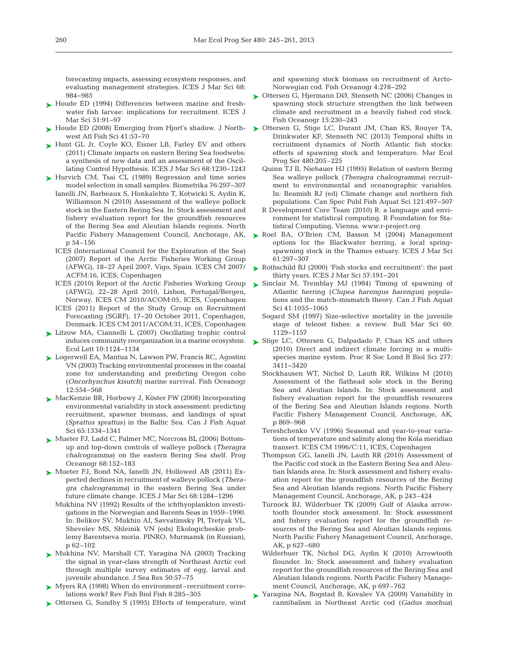forecasting impacts, assessing ecosystem responses, and evaluating management strategies. ICES J Mar Sci 68: 984−985

- ► Houde ED (1994) Differences between marine and freshwater fish larvae: implications for recruitment. ICES J Mar Sci 51:91–97
- ► Houde ED (2008) Emerging from Hjort's shadow. J Northwest Atl Fish Sci 41:53-70
- ► Hunt GL Jr, Coyle KO, Eisner LB, Farley EV and others (2011) Climate impacts on eastern Bering Sea foodwebs: a synthesis of new data and an assessment of the Oscillating Control Hypothesis. ICES J Mar Sci 68: 1230−1243
- ► Hurvich CM, Tsai CL (1989) Regression and time series model selection in small samples. Biometrika 76: 297−307 Ianelli JN, Barbeaux S, Honkalehto T, Kotwicki S, Aydin K, Williamson N (2010) Assessment of the walleye pollock
	- stock in the Eastern Bering Sea. In: Stock assessment and fishery evaluation report for the groundfish resources of the Bering Sea and Aleutian Islands regions. North Pacific Fishery Management Council, Anchorage, AK, p 54–156
	- ICES (International Council for the Exploration of the Sea) (2007) Report of the Arctic Fisheries Working Group (AFWG), 18−27 April 2007, Vigo, Spain. ICES CM 2007/ ACFM: 16, ICES, Copenhagen
	- ICES (2010) Report of the Arctic Fisheries Working Group (AFWG), 22−28 April 2010, Lisbon, Portugal/Bergen, Norway. ICES CM 2010/ACOM:05, ICES, Copenhagen
	- ICES (2011) Report of the Study Group on Recruitment Forecasting (SGRF), 17−20 October 2011, Copenhagen, Denmark. ICES CM 2011/ACOM:31, ICES, Copenhagen
- Litzow MA, Ciannelli L (2007) Oscillating trophic control ➤ induces community reorganization in a marine ecosystem. Ecol Lett 10: 1124−1134
- ► Logerwell EA, Mantua N, Lawson PW, Francis RC, Agostini VN (2003) Tracking environmental processes in the coastal zone for understanding and predicting Oregon coho (*Oncorhynchus kisutch*) marine survival. Fish Oceanogr 12: 554−568
- ► MacKenzie BR, Horbowy J, Köster FW (2008) Incorporating environmental variability in stock assessment: predicting recruitment, spawner biomass, and landings of sprat (*Sprattus sprattus)* in the Baltic Sea. Can J Fish Aquat Sci 65: 1334−1341
- ► Mueter FJ, Ladd C, Palmer MC, Norcross BL (2006) Bottomup and top-down controls of walleye pollock (*Theragra chalcogramma*) on the eastern Bering Sea shelf. Prog Oceanogr 68: 152−183
- ▶ Mueter FJ, Bond NA, Ianelli JN, Hollowed AB (2011) Expected declines in recruitment of walleye pollock (*Thera gra chalcogramma*) in the eastern Bering Sea under future climate change. ICES J Mar Sci 68: 1284−1296
	- Mukhina NV (1992) Results of the ichthyoplankton investigations in the Norwegian and Barents Seas in 1959–1990. In:Belikov SV, Mukhin AI, Savvatimsky PI, Tretyak VL, Shevelev MS, Shleinik VN (eds) Ekologicheskie problemy Barentseva moria. PINRO, Murmansk (in Russian), p 62–102
- ▶ Mukhina NV, Marshall CT, Yaragina NA (2003) Tracking the signal in year-class strength of Northeast Arctic cod through multiple survey estimates of egg, larval and juvenile abundance. J Sea Res 50:57-75
- ▶ Myers RA (1998) When do environment–recruitment correlations work? Rev Fish Biol Fish 8: 285−305
- ▶ Ottersen G, Sundby S (1995) Effects of temperature, wind

and spawning stock biomass on recruitment of Arcto-Norwegian cod. Fish Oceanogr 4:278-292

- Ottersen G, Hjermann DØ, Stenseth NC (2006) Changes in ➤ spawning stock structure strengthen the link between climate and recruitment in a heavily fished cod stock. Fish Oceanogr 15: 230−243
- ▶ Ottersen G, Stige LC, Durant JM, Chan KS, Rouyer TA, Drinkwater KF, Stenseth NC (2013) Temporal shifts in recruitment dynamics of North Atlantic fish stocks: effects of spawning stock and temperature. Mar Ecol Prog Ser 480:205–225
	- Quinn TJ II, Niebauer HJ (1995) Relation of eastern Bering Sea walleye pollock (*Theragra chalcogramma*) recruitment to environmental and oceanographic variables. In: Beamish RJ (ed) Climate change and northern fish populations. Can Spec Publ Fish Aquat Sci 121: 497−507
	- R Development Core Team (2010) R: a language and environment for statistical computing. R Foundation for Statistical Computing, Vienna. www.r-project. org
- ▶ Roel BA, O'Brien CM, Basson M (2004) Management options for the Blackwater herring, a local springspawning stock in the Thames estuary. ICES J Mar Sci 61: 297−307
- ▶ Rothschild BJ (2000) 'Fish stocks and recruitment': the past thirty years. ICES J Mar Sci 57: 191−201
- ▶ Sinclair M, Tremblay MJ (1984) Timing of spawning of Atlantic herring (*Clupea harengus harengus*) populations and the match-mismatch theory. Can J Fish Aquat Sci 41: 1055−1065
	- Sogard SM (1997) Size-selective mortality in the juvenile stage of teleost fishes: a review. Bull Mar Sci 60: 1129−1157
- ► Stige LC, Ottersen G, Dalpadado P, Chan KS and others (2010) Direct and indirect climate forcing in a multispecies marine system. Proc R Soc Lond B Biol Sci 277: 3411−3420
	- Stockhausen WT, Nichol D, Lauth RR, Wilkins M (2010) Assessment of the flathead sole stock in the Bering Sea and Aleutian Islands. In: Stock assessment and fishery evaluation report for the groundfish resources of the Bering Sea and Aleutian Islands regions. North Pacific Fishery Management Council, Anchorage, AK, p 869–968
	- Tereshchenko VV (1996) Seasonal and year-to-year variations of temperature and salinity along the Kola meridian transect. ICES CM 1996/C:11, ICES, Copenhagen
	- Thompson GG, Ianelli JN, Lauth RR (2010) Assessment of the Pacific cod stock in the Eastern Bering Sea and Aleutian Islands area. In: Stock assessment and fishery evaluation report for the groundfish resources of the Bering Sea and Aleutian Islands regions. North Pacific Fishery Management Council, Anchorage, AK, p 243–424
	- Turnock BJ, Wilderbuer TK (2009) Gulf of Alaska arrowtooth flounder stock assessment. In: Stock assessment and fishery evaluation report for the groundfish resources of the Bering Sea and Aleutian Islands regions. North Pacific Fishery Management Council, Anchorage, AK, p 627–680
	- Wilderbuer TK, Nichol DG, Aydin K (2010) Arrowtooth flounder. In: Stock assessment and fishery evaluation report for the groundfish resources of the Bering Sea and Aleutian Islands regions. North Pacific Fishery Management Council, Anchorage, AK, p 697–762
- ▶ Yaragina NA, Bogstad B, Kovalev YA (2009) Variability in cannibalism in Northeast Arctic cod (*Gadus morhua*)